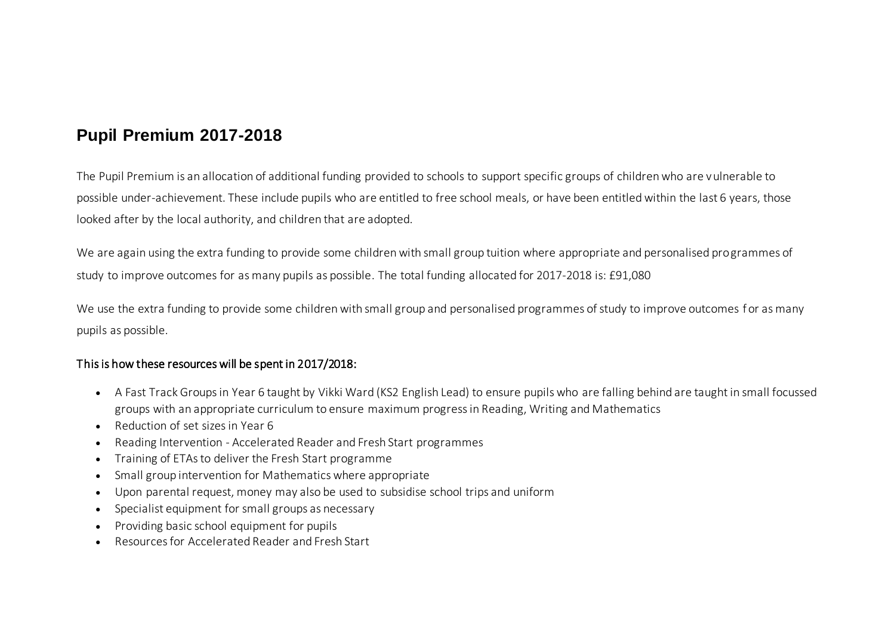## **Pupil Premium 2017-2018**

The Pupil Premium is an allocation of additional funding provided to schools to support specific groups of children who are vulnerable to possible under-achievement. These include pupils who are entitled to free school meals, or have been entitled within the last 6 years, those looked after by the local authority, and children that are adopted.

We are again using the extra funding to provide some children with small group tuition where appropriate and personalised programmes of study to improve outcomes for as many pupils as possible. The total funding allocated for 2017-2018 is: £91,080

We use the extra funding to provide some children with small group and personalised programmes of study to improve outcomes for as many pupils as possible.

## This is how these resources will be spent in 2017/2018:

- A Fast Track Groups in Year 6 taught by Vikki Ward (KS2 English Lead) to ensure pupils who are falling behind are taught in small focussed groups with an appropriate curriculum to ensure maximum progress in Reading, Writing and Mathematics
- Reduction of set sizes in Year 6
- Reading Intervention Accelerated Reader and Fresh Start programmes
- Training of ETAs to deliver the Fresh Start programme
- Small group intervention for Mathematics where appropriate
- Upon parental request, money may also be used to subsidise school trips and uniform
- Specialist equipment for small groups as necessary
- Providing basic school equipment for pupils
- Resources for Accelerated Reader and Fresh Start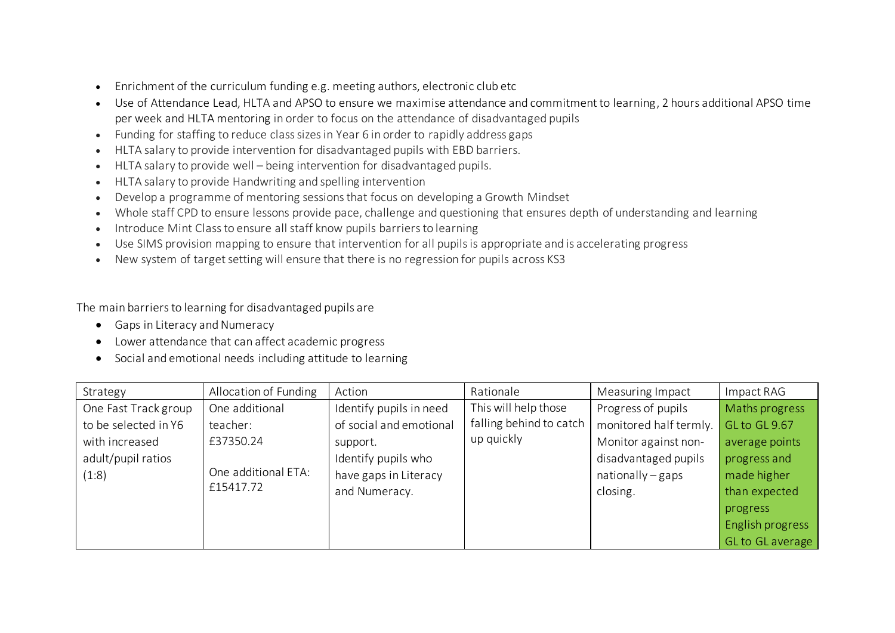- Enrichment of the curriculum funding e.g. meeting authors, electronic club etc
- Use of Attendance Lead, HLTA and APSO to ensure we maximise attendance and commitment to learning, 2 hours additional APSO time per week and HLTA mentoring in order to focus on the attendance of disadvantaged pupils
- Funding for staffing to reduce class sizes in Year 6 in order to rapidly address gaps
- HLTA salary to provide intervention for disadvantaged pupils with EBD barriers.
- HLTA salary to provide well being intervention for disadvantaged pupils.
- HLTA salary to provide Handwriting and spelling intervention
- Develop a programme of mentoring sessions that focus on developing a Growth Mindset
- Whole staff CPD to ensure lessons provide pace, challenge and questioning that ensures depth of understanding and learning
- Introduce Mint Class to ensure all staff know pupils barriers to learning
- Use SIMS provision mapping to ensure that intervention for all pupils is appropriate and is accelerating progress
- New system of target setting will ensure that there is no regression for pupils across KS3

The main barriers to learning for disadvantaged pupils are

- Gaps in Literacy and Numeracy
- Lower attendance that can affect academic progress
- Social and emotional needs including attitude to learning

| Strategy             | Allocation of Funding | Action                  | Rationale               | Measuring Impact       | Impact RAG       |
|----------------------|-----------------------|-------------------------|-------------------------|------------------------|------------------|
| One Fast Track group | One additional        | Identify pupils in need | This will help those    | Progress of pupils     | Maths progress   |
| to be selected in Y6 | teacher:              | of social and emotional | falling behind to catch | monitored half termly. | GL to GL 9.67    |
| with increased       | £37350.24             | support.                | up quickly              | Monitor against non-   | average points   |
| adult/pupil ratios   |                       | Identify pupils who     |                         | disadvantaged pupils   | progress and     |
| (1:8)                | One additional ETA:   | have gaps in Literacy   |                         | $nationally-gaps$      | made higher      |
|                      | £15417.72             | and Numeracy.           |                         | closing.               | than expected    |
|                      |                       |                         |                         |                        | progress         |
|                      |                       |                         |                         |                        | English progress |
|                      |                       |                         |                         |                        | GL to GL average |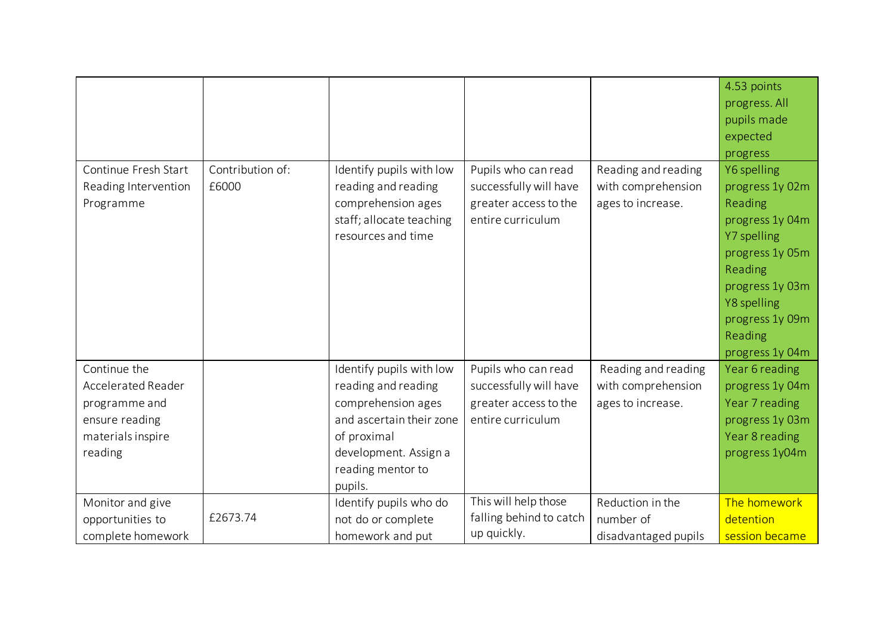|                           |                  |                          |                         |                      | 4.53 points     |
|---------------------------|------------------|--------------------------|-------------------------|----------------------|-----------------|
|                           |                  |                          |                         |                      | progress. All   |
|                           |                  |                          |                         |                      | pupils made     |
|                           |                  |                          |                         |                      | expected        |
|                           |                  |                          |                         |                      | progress        |
| Continue Fresh Start      | Contribution of: | Identify pupils with low | Pupils who can read     | Reading and reading  | Y6 spelling     |
| Reading Intervention      | £6000            | reading and reading      | successfully will have  | with comprehension   | progress 1y 02m |
| Programme                 |                  | comprehension ages       | greater access to the   | ages to increase.    | Reading         |
|                           |                  | staff; allocate teaching | entire curriculum       |                      | progress 1y 04m |
|                           |                  | resources and time       |                         |                      | Y7 spelling     |
|                           |                  |                          |                         |                      | progress 1y 05m |
|                           |                  |                          |                         |                      | Reading         |
|                           |                  |                          |                         |                      | progress 1y 03m |
|                           |                  |                          |                         |                      | Y8 spelling     |
|                           |                  |                          |                         |                      | progress 1y 09m |
|                           |                  |                          |                         |                      | Reading         |
|                           |                  |                          |                         |                      | progress 1y 04m |
| Continue the              |                  | Identify pupils with low | Pupils who can read     | Reading and reading  | Year 6 reading  |
| <b>Accelerated Reader</b> |                  | reading and reading      | successfully will have  | with comprehension   | progress 1y 04m |
| programme and             |                  | comprehension ages       | greater access to the   | ages to increase.    | Year 7 reading  |
| ensure reading            |                  | and ascertain their zone | entire curriculum       |                      | progress 1y 03m |
| materials inspire         |                  | of proximal              |                         |                      | Year 8 reading  |
| reading                   |                  | development. Assign a    |                         |                      | progress 1y04m  |
|                           |                  | reading mentor to        |                         |                      |                 |
|                           |                  | pupils.                  |                         |                      |                 |
| Monitor and give          |                  | Identify pupils who do   | This will help those    | Reduction in the     | The homework    |
| opportunities to          | £2673.74         | not do or complete       | falling behind to catch | number of            | detention       |
| complete homework         |                  | homework and put         | up quickly.             | disadvantaged pupils | session became  |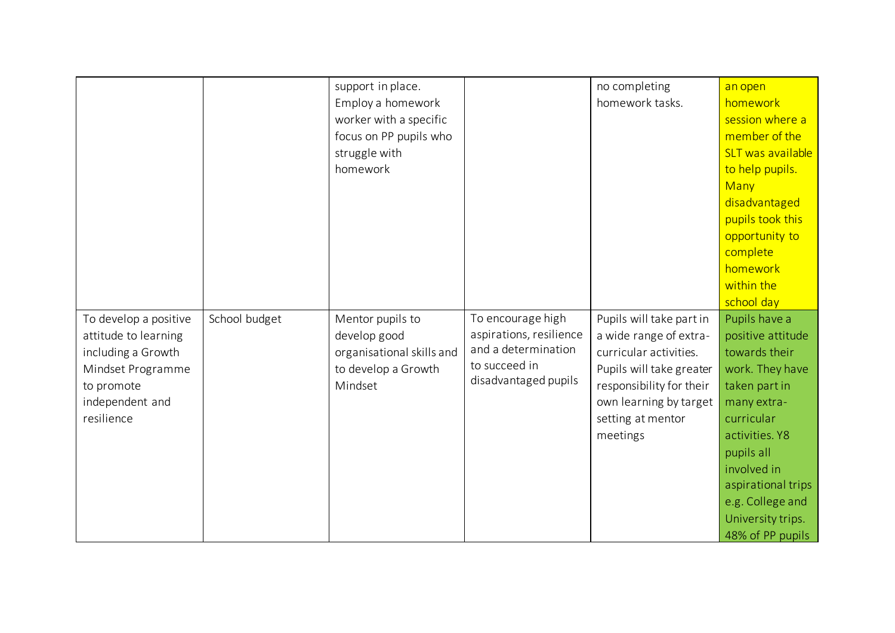|                       |               | support in place.         |                         | no completing            | an open            |
|-----------------------|---------------|---------------------------|-------------------------|--------------------------|--------------------|
|                       |               | Employ a homework         |                         | homework tasks.          | homework           |
|                       |               | worker with a specific    |                         |                          | session where a    |
|                       |               | focus on PP pupils who    |                         |                          | member of the      |
|                       |               | struggle with             |                         |                          | SLT was available  |
|                       |               | homework                  |                         |                          | to help pupils.    |
|                       |               |                           |                         |                          | Many               |
|                       |               |                           |                         |                          | disadvantaged      |
|                       |               |                           |                         |                          | pupils took this   |
|                       |               |                           |                         |                          | opportunity to     |
|                       |               |                           |                         |                          | complete           |
|                       |               |                           |                         |                          | homework           |
|                       |               |                           |                         |                          | within the         |
|                       |               |                           |                         |                          | school day         |
| To develop a positive | School budget | Mentor pupils to          | To encourage high       | Pupils will take part in | Pupils have a      |
| attitude to learning  |               | develop good              | aspirations, resilience | a wide range of extra-   | positive attitude  |
| including a Growth    |               | organisational skills and | and a determination     | curricular activities.   | towards their      |
| Mindset Programme     |               | to develop a Growth       | to succeed in           | Pupils will take greater | work. They have    |
| to promote            |               | Mindset                   | disadvantaged pupils    | responsibility for their | taken part in      |
| independent and       |               |                           |                         | own learning by target   | many extra-        |
| resilience            |               |                           |                         | setting at mentor        | curricular         |
|                       |               |                           |                         | meetings                 | activities. Y8     |
|                       |               |                           |                         |                          | pupils all         |
|                       |               |                           |                         |                          | involved in        |
|                       |               |                           |                         |                          | aspirational trips |
|                       |               |                           |                         |                          | e.g. College and   |
|                       |               |                           |                         |                          | University trips.  |
|                       |               |                           |                         |                          | 48% of PP pupils   |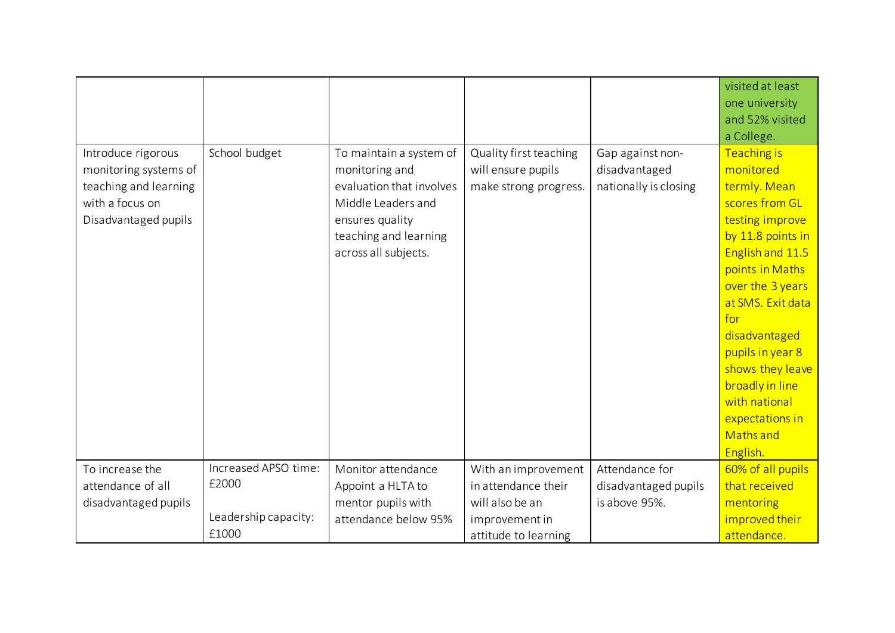|                       |                      |                          |                        |                       | visited at least  |
|-----------------------|----------------------|--------------------------|------------------------|-----------------------|-------------------|
|                       |                      |                          |                        |                       | one university    |
|                       |                      |                          |                        |                       | and 52% visited   |
|                       |                      |                          |                        |                       | a College.        |
| Introduce rigorous    | School budget        | To maintain a system of  | Quality first teaching | Gap against non-      | Teaching is       |
| monitoring systems of |                      | monitoring and           | will ensure pupils     | disadvantaged         | monitored         |
| teaching and learning |                      | evaluation that involves | make strong progress.  | nationally is closing | termly. Mean      |
| with a focus on       |                      | Middle Leaders and       |                        |                       | scores from GL    |
| Disadvantaged pupils  |                      | ensures quality          |                        |                       | testing improve   |
|                       |                      | teaching and learning    |                        |                       | by 11.8 points in |
|                       |                      | across all subjects.     |                        |                       | English and 11.5  |
|                       |                      |                          |                        |                       | points in Maths   |
|                       |                      |                          |                        |                       | over the 3 years  |
|                       |                      |                          |                        |                       | at SMS. Exit data |
|                       |                      |                          |                        |                       | for               |
|                       |                      |                          |                        |                       | disadvantaged     |
|                       |                      |                          |                        |                       | pupils in year 8  |
|                       |                      |                          |                        |                       | shows they leave  |
|                       |                      |                          |                        |                       | broadly in line   |
|                       |                      |                          |                        |                       | with national     |
|                       |                      |                          |                        |                       | expectations in   |
|                       |                      |                          |                        |                       | <b>Maths and</b>  |
|                       |                      |                          |                        |                       | English.          |
| To increase the       | Increased APSO time: | Monitor attendance       | With an improvement    | Attendance for        | 60% of all pupils |
| attendance of all     | £2000                | Appoint a HLTA to        | in attendance their    | disadvantaged pupils  | that received     |
| disadvantaged pupils  |                      | mentor pupils with       | will also be an        | is above 95%.         | mentoring         |
|                       | Leadership capacity: | attendance below 95%     | improvement in         |                       | improved their    |
|                       | £1000                |                          | attitude to learning   |                       | attendance.       |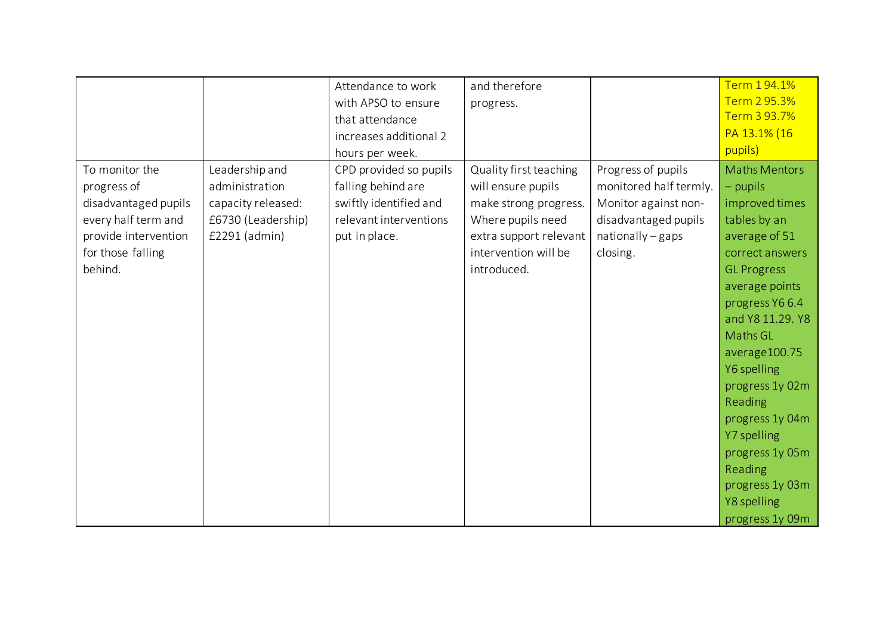|                      |                    | Attendance to work     | and therefore          |                        | Term 194.1%          |
|----------------------|--------------------|------------------------|------------------------|------------------------|----------------------|
|                      |                    | with APSO to ensure    | progress.              |                        | Term 2 95.3%         |
|                      |                    | that attendance        |                        |                        | Term 3 93.7%         |
|                      |                    | increases additional 2 |                        |                        | PA 13.1% (16         |
|                      |                    | hours per week.        |                        |                        | pupils)              |
| To monitor the       | Leadership and     | CPD provided so pupils | Quality first teaching | Progress of pupils     | <b>Maths Mentors</b> |
| progress of          | administration     | falling behind are     | will ensure pupils     | monitored half termly. | - pupils             |
| disadvantaged pupils | capacity released: | swiftly identified and | make strong progress.  | Monitor against non-   | improved times       |
| every half term and  | £6730 (Leadership) | relevant interventions | Where pupils need      | disadvantaged pupils   | tables by an         |
| provide intervention | £2291 (admin)      | put in place.          | extra support relevant | nationally - gaps      | average of 51        |
| for those falling    |                    |                        | intervention will be   | closing.               | correct answers      |
| behind.              |                    |                        | introduced.            |                        | <b>GL Progress</b>   |
|                      |                    |                        |                        |                        | average points       |
|                      |                    |                        |                        |                        | progress Y66.4       |
|                      |                    |                        |                        |                        | and Y8 11.29. Y8     |
|                      |                    |                        |                        |                        | Maths GL             |
|                      |                    |                        |                        |                        | average100.75        |
|                      |                    |                        |                        |                        | Y6 spelling          |
|                      |                    |                        |                        |                        | progress 1y 02m      |
|                      |                    |                        |                        |                        | Reading              |
|                      |                    |                        |                        |                        | progress 1y 04m      |
|                      |                    |                        |                        |                        | Y7 spelling          |
|                      |                    |                        |                        |                        | progress 1y 05m      |
|                      |                    |                        |                        |                        | Reading              |
|                      |                    |                        |                        |                        | progress 1y 03m      |
|                      |                    |                        |                        |                        | Y8 spelling          |
|                      |                    |                        |                        |                        | progress 1y 09m      |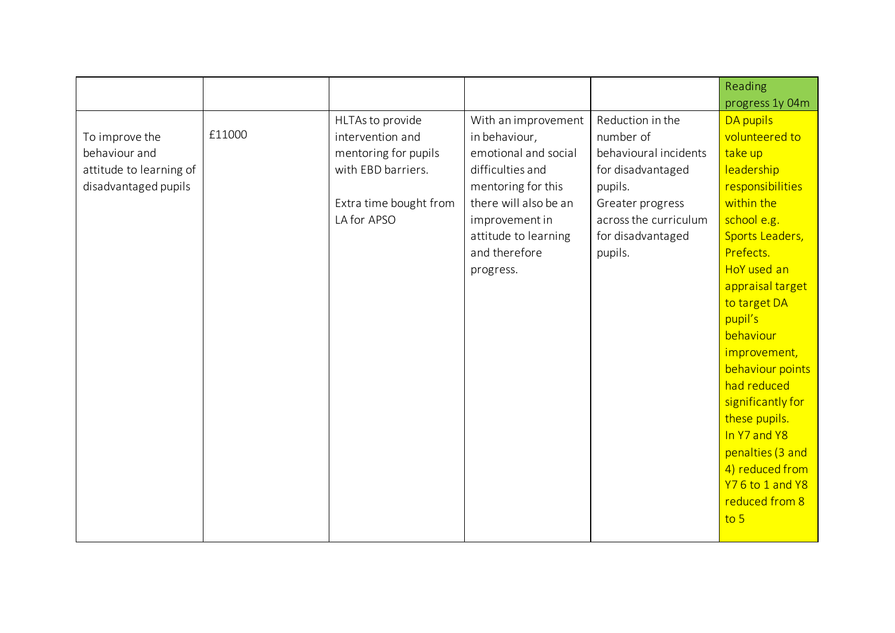|                         |        |                        |                       |                       | Reading           |
|-------------------------|--------|------------------------|-----------------------|-----------------------|-------------------|
|                         |        |                        |                       |                       | progress 1y 04m   |
|                         |        | HLTAs to provide       | With an improvement   | Reduction in the      | DA pupils         |
| To improve the          | £11000 | intervention and       | in behaviour,         | number of             | volunteered to    |
| behaviour and           |        | mentoring for pupils   | emotional and social  | behavioural incidents | take up           |
| attitude to learning of |        | with EBD barriers.     | difficulties and      | for disadvantaged     | leadership        |
| disadvantaged pupils    |        |                        | mentoring for this    | pupils.               | responsibilities  |
|                         |        | Extra time bought from | there will also be an | Greater progress      | within the        |
|                         |        | LA for APSO            | improvement in        | across the curriculum | school e.g.       |
|                         |        |                        | attitude to learning  | for disadvantaged     | Sports Leaders,   |
|                         |        |                        | and therefore         | pupils.               | Prefects.         |
|                         |        |                        | progress.             |                       | HoY used an       |
|                         |        |                        |                       |                       | appraisal target  |
|                         |        |                        |                       |                       | to target DA      |
|                         |        |                        |                       |                       | pupil's           |
|                         |        |                        |                       |                       | behaviour         |
|                         |        |                        |                       |                       | improvement,      |
|                         |        |                        |                       |                       | behaviour points  |
|                         |        |                        |                       |                       | had reduced       |
|                         |        |                        |                       |                       | significantly for |
|                         |        |                        |                       |                       | these pupils.     |
|                         |        |                        |                       |                       | In Y7 and Y8      |
|                         |        |                        |                       |                       | penalties (3 and  |
|                         |        |                        |                       |                       | 4) reduced from   |
|                         |        |                        |                       |                       | Y76 to 1 and Y8   |
|                         |        |                        |                       |                       | reduced from 8    |
|                         |        |                        |                       |                       | $\overline{105}$  |
|                         |        |                        |                       |                       |                   |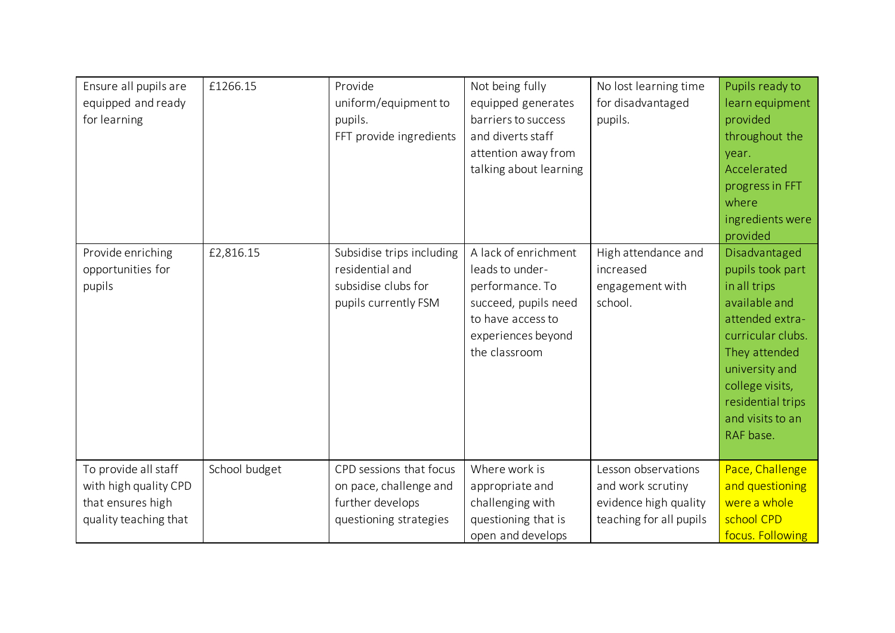| Ensure all pupils are | £1266.15      | Provide                   | Not being fully        | No lost learning time   | Pupils ready to   |
|-----------------------|---------------|---------------------------|------------------------|-------------------------|-------------------|
| equipped and ready    |               | uniform/equipment to      | equipped generates     | for disadvantaged       | learn equipment   |
| for learning          |               | pupils.                   | barriers to success    | pupils.                 | provided          |
|                       |               | FFT provide ingredients   | and diverts staff      |                         | throughout the    |
|                       |               |                           | attention away from    |                         | year.             |
|                       |               |                           | talking about learning |                         | Accelerated       |
|                       |               |                           |                        |                         | progress in FFT   |
|                       |               |                           |                        |                         | where             |
|                       |               |                           |                        |                         | ingredients were  |
|                       |               |                           |                        |                         | provided          |
| Provide enriching     | £2,816.15     | Subsidise trips including | A lack of enrichment   | High attendance and     | Disadvantaged     |
| opportunities for     |               | residential and           | leads to under-        | increased               | pupils took part  |
| pupils                |               | subsidise clubs for       | performance. To        | engagement with         | in all trips      |
|                       |               | pupils currently FSM      | succeed, pupils need   | school.                 | available and     |
|                       |               |                           | to have access to      |                         | attended extra-   |
|                       |               |                           | experiences beyond     |                         | curricular clubs. |
|                       |               |                           | the classroom          |                         | They attended     |
|                       |               |                           |                        |                         | university and    |
|                       |               |                           |                        |                         | college visits,   |
|                       |               |                           |                        |                         | residential trips |
|                       |               |                           |                        |                         | and visits to an  |
|                       |               |                           |                        |                         | RAF base.         |
|                       |               |                           |                        |                         |                   |
| To provide all staff  | School budget | CPD sessions that focus   | Where work is          | Lesson observations     | Pace, Challenge   |
| with high quality CPD |               | on pace, challenge and    | appropriate and        | and work scrutiny       | and questioning   |
| that ensures high     |               | further develops          | challenging with       | evidence high quality   | were a whole      |
| quality teaching that |               | questioning strategies    | questioning that is    | teaching for all pupils | school CPD        |
|                       |               |                           | open and develops      |                         | focus. Following  |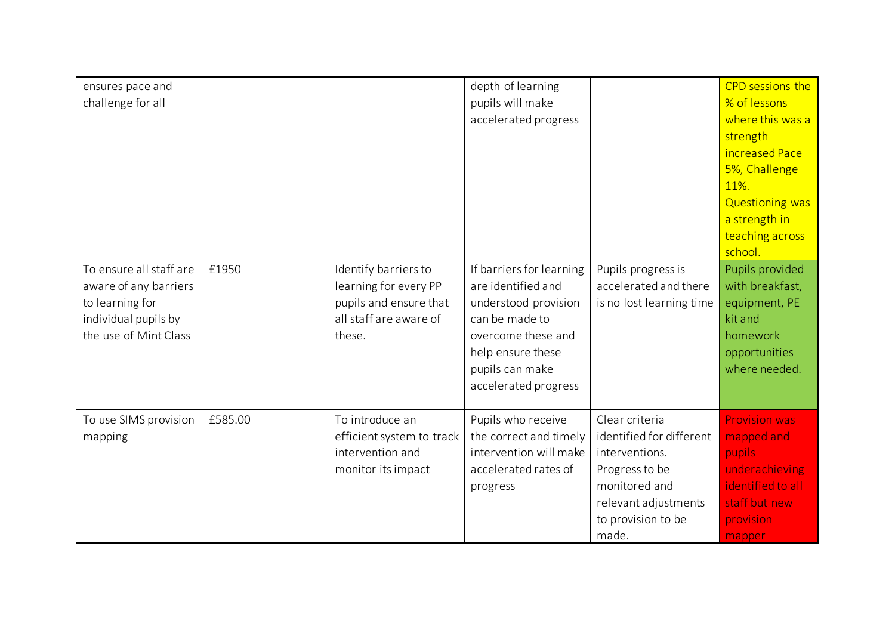| ensures pace and        |         |                           | depth of learning        |                          | CPD sessions the       |
|-------------------------|---------|---------------------------|--------------------------|--------------------------|------------------------|
| challenge for all       |         |                           | pupils will make         |                          | % of lessons           |
|                         |         |                           | accelerated progress     |                          | where this was a       |
|                         |         |                           |                          |                          | strength               |
|                         |         |                           |                          |                          | increased Pace         |
|                         |         |                           |                          |                          | 5%, Challenge          |
|                         |         |                           |                          |                          | 11%.                   |
|                         |         |                           |                          |                          | <b>Questioning was</b> |
|                         |         |                           |                          |                          | a strength in          |
|                         |         |                           |                          |                          | teaching across        |
|                         |         |                           |                          |                          | school.                |
| To ensure all staff are | £1950   | Identify barriers to      | If barriers for learning | Pupils progress is       | Pupils provided        |
| aware of any barriers   |         | learning for every PP     | are identified and       | accelerated and there    | with breakfast,        |
| to learning for         |         | pupils and ensure that    | understood provision     | is no lost learning time | equipment, PE          |
| individual pupils by    |         | all staff are aware of    | can be made to           |                          | kit and                |
| the use of Mint Class   |         | these.                    | overcome these and       |                          | homework               |
|                         |         |                           | help ensure these        |                          | opportunities          |
|                         |         |                           | pupils can make          |                          | where needed.          |
|                         |         |                           | accelerated progress     |                          |                        |
|                         |         |                           |                          |                          |                        |
| To use SIMS provision   | £585.00 | To introduce an           | Pupils who receive       | Clear criteria           | <b>Provision was</b>   |
| mapping                 |         | efficient system to track | the correct and timely   | identified for different | mapped and             |
|                         |         | intervention and          | intervention will make   | interventions.           | pupils                 |
|                         |         | monitor its impact        | accelerated rates of     | Progress to be           | underachieving         |
|                         |         |                           | progress                 | monitored and            | identified to all      |
|                         |         |                           |                          | relevant adjustments     | staff but new          |
|                         |         |                           |                          | to provision to be       | provision              |
|                         |         |                           |                          | made.                    | mapper                 |